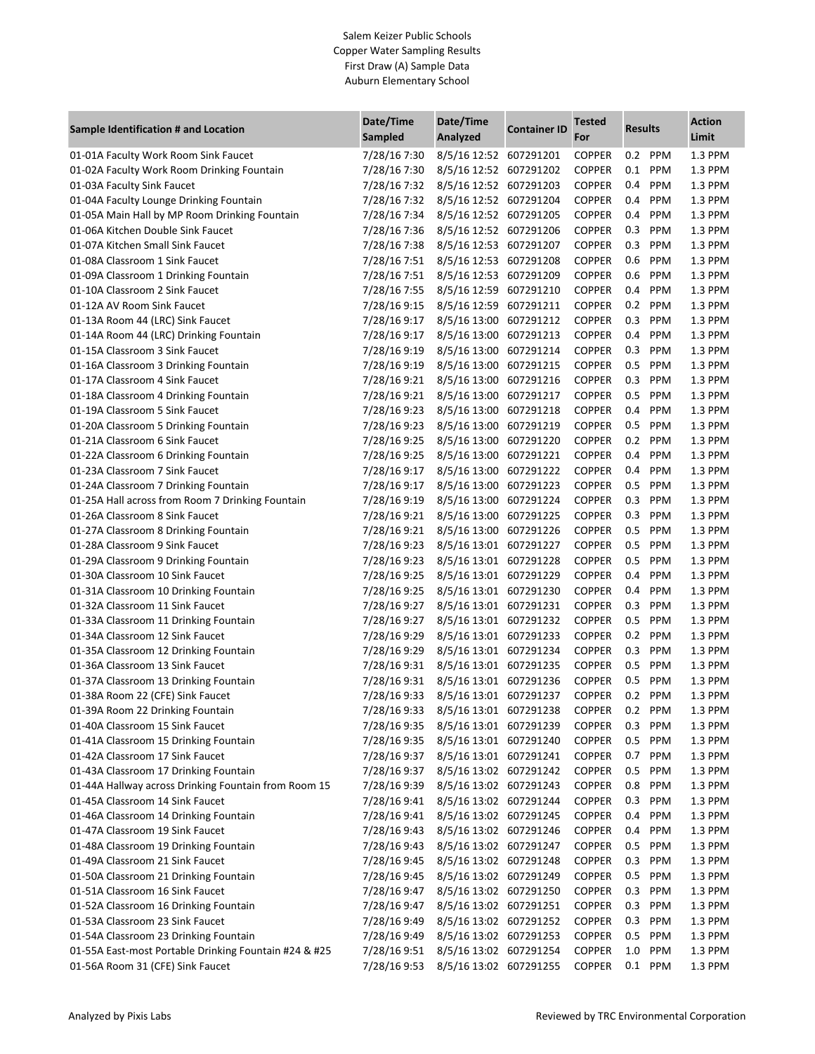## Salem Keizer Public Schools Copper Water Sampling Results First Draw (A) Sample Data Auburn Elementary School

| Sample Identification # and Location                  | Date/Time<br>Sampled | Date/Time<br>Analyzed  | <b>Container ID</b> | <b>Tested</b><br>For | <b>Results</b> |            | <b>Action</b><br>Limit |
|-------------------------------------------------------|----------------------|------------------------|---------------------|----------------------|----------------|------------|------------------------|
| 01-01A Faculty Work Room Sink Faucet                  | 7/28/16 7:30         | 8/5/16 12:52 607291201 |                     | <b>COPPER</b>        |                | 0.2 PPM    | 1.3 PPM                |
| 01-02A Faculty Work Room Drinking Fountain            | 7/28/16 7:30         | 8/5/16 12:52 607291202 |                     | <b>COPPER</b>        | 0.1            | PPM        | 1.3 PPM                |
| 01-03A Faculty Sink Faucet                            | 7/28/16 7:32         | 8/5/16 12:52 607291203 |                     | <b>COPPER</b>        | 0.4            | PPM        | 1.3 PPM                |
| 01-04A Faculty Lounge Drinking Fountain               | 7/28/16 7:32         | 8/5/16 12:52           | 607291204           | <b>COPPER</b>        | 0.4            | PPM        | 1.3 PPM                |
| 01-05A Main Hall by MP Room Drinking Fountain         | 7/28/16 7:34         | 8/5/16 12:52 607291205 |                     | <b>COPPER</b>        | 0.4            | PPM        | 1.3 PPM                |
| 01-06A Kitchen Double Sink Faucet                     | 7/28/16 7:36         | 8/5/16 12:52 607291206 |                     | <b>COPPER</b>        | 0.3            | PPM        | 1.3 PPM                |
| 01-07A Kitchen Small Sink Faucet                      | 7/28/16 7:38         | 8/5/16 12:53 607291207 |                     | <b>COPPER</b>        | 0.3            | PPM        | 1.3 PPM                |
| 01-08A Classroom 1 Sink Faucet                        | 7/28/16 7:51         | 8/5/16 12:53 607291208 |                     | <b>COPPER</b>        | 0.6            | PPM        | 1.3 PPM                |
| 01-09A Classroom 1 Drinking Fountain                  | 7/28/16 7:51         | 8/5/16 12:53           | 607291209           | <b>COPPER</b>        | 0.6            | PPM        | 1.3 PPM                |
| 01-10A Classroom 2 Sink Faucet                        | 7/28/16 7:55         | 8/5/16 12:59 607291210 |                     | <b>COPPER</b>        | 0.4            | PPM        | 1.3 PPM                |
| 01-12A AV Room Sink Faucet                            | 7/28/16 9:15         | 8/5/16 12:59           | 607291211           | <b>COPPER</b>        | 0.2            | PPM        | 1.3 PPM                |
| 01-13A Room 44 (LRC) Sink Faucet                      | 7/28/16 9:17         | 8/5/16 13:00           | 607291212           | <b>COPPER</b>        | 0.3            | PPM        | 1.3 PPM                |
| 01-14A Room 44 (LRC) Drinking Fountain                | 7/28/16 9:17         | 8/5/16 13:00           | 607291213           | <b>COPPER</b>        | 0.4            | PPM        | 1.3 PPM                |
| 01-15A Classroom 3 Sink Faucet                        | 7/28/16 9:19         | 8/5/16 13:00 607291214 |                     | <b>COPPER</b>        | 0.3            | PPM        | 1.3 PPM                |
| 01-16A Classroom 3 Drinking Fountain                  | 7/28/16 9:19         | 8/5/16 13:00           | 607291215           | <b>COPPER</b>        | 0.5            | PPM        | 1.3 PPM                |
| 01-17A Classroom 4 Sink Faucet                        | 7/28/169:21          | 8/5/16 13:00 607291216 |                     | <b>COPPER</b>        | 0.3            | PPM        | 1.3 PPM                |
| 01-18A Classroom 4 Drinking Fountain                  | 7/28/16 9:21         | 8/5/16 13:00           | 607291217           | <b>COPPER</b>        | 0.5            | PPM        | 1.3 PPM                |
| 01-19A Classroom 5 Sink Faucet                        | 7/28/16 9:23         | 8/5/16 13:00 607291218 |                     | <b>COPPER</b>        | 0.4            | PPM        | 1.3 PPM                |
| 01-20A Classroom 5 Drinking Fountain                  | 7/28/16 9:23         | 8/5/16 13:00           | 607291219           | <b>COPPER</b>        | 0.5            | PPM        | 1.3 PPM                |
| 01-21A Classroom 6 Sink Faucet                        | 7/28/16 9:25         | 8/5/16 13:00           | 607291220           | <b>COPPER</b>        | 0.2            | PPM        | 1.3 PPM                |
| 01-22A Classroom 6 Drinking Fountain                  | 7/28/16 9:25         | 8/5/16 13:00           | 607291221           | <b>COPPER</b>        | 0.4            | PPM        | 1.3 PPM                |
| 01-23A Classroom 7 Sink Faucet                        | 7/28/16 9:17         | 8/5/16 13:00           | 607291222           | <b>COPPER</b>        | 0.4            | PPM        | 1.3 PPM                |
| 01-24A Classroom 7 Drinking Fountain                  | 7/28/16 9:17         | 8/5/16 13:00           | 607291223           | <b>COPPER</b>        | 0.5            | PPM        | 1.3 PPM                |
| 01-25A Hall across from Room 7 Drinking Fountain      | 7/28/16 9:19         | 8/5/16 13:00           | 607291224           | <b>COPPER</b>        | 0.3            | PPM        | 1.3 PPM                |
| 01-26A Classroom 8 Sink Faucet                        | 7/28/16 9:21         | 8/5/16 13:00           | 607291225           | <b>COPPER</b>        | 0.3            | PPM        | 1.3 PPM                |
| 01-27A Classroom 8 Drinking Fountain                  | 7/28/169:21          | 8/5/16 13:00           | 607291226           | <b>COPPER</b>        | 0.5            | PPM        | 1.3 PPM                |
| 01-28A Classroom 9 Sink Faucet                        | 7/28/16 9:23         | 8/5/16 13:01 607291227 |                     | <b>COPPER</b>        | 0.5            | PPM        | 1.3 PPM                |
| 01-29A Classroom 9 Drinking Fountain                  | 7/28/16 9:23         | 8/5/16 13:01 607291228 |                     | <b>COPPER</b>        | 0.5            | PPM        | 1.3 PPM                |
| 01-30A Classroom 10 Sink Faucet                       | 7/28/16 9:25         | 8/5/16 13:01           | 607291229           | <b>COPPER</b>        | 0.4            | PPM        | 1.3 PPM                |
| 01-31A Classroom 10 Drinking Fountain                 | 7/28/16 9:25         | 8/5/16 13:01 607291230 |                     | <b>COPPER</b>        | 0.4            | PPM        | 1.3 PPM                |
| 01-32A Classroom 11 Sink Faucet                       | 7/28/16 9:27         | 8/5/16 13:01 607291231 |                     | <b>COPPER</b>        | 0.3            | PPM        | 1.3 PPM                |
| 01-33A Classroom 11 Drinking Fountain                 | 7/28/16 9:27         | 8/5/16 13:01 607291232 |                     | <b>COPPER</b>        | 0.5            | <b>PPM</b> | 1.3 PPM                |
| 01-34A Classroom 12 Sink Faucet                       | 7/28/16 9:29         | 8/5/16 13:01 607291233 |                     | <b>COPPER</b>        | 0.2            | PPM        | 1.3 PPM                |
| 01-35A Classroom 12 Drinking Fountain                 | 7/28/16 9:29         | 8/5/16 13:01 607291234 |                     | <b>COPPER</b>        | 0.3            | PPM        | 1.3 PPM                |
| 01-36A Classroom 13 Sink Faucet                       | 7/28/16 9:31         | 8/5/16 13:01 607291235 |                     | <b>COPPER</b>        | 0.5            | PPM        | 1.3 PPM                |
| 01-37A Classroom 13 Drinking Fountain                 | 7/28/16 9:31         | 8/5/16 13:01 607291236 |                     | <b>COPPER</b>        | 0.5            | PPM        | 1.3 PPM                |
| 01-38A Room 22 (CFE) Sink Faucet                      | 7/28/16 9:33         | 8/5/16 13:01 607291237 |                     | <b>COPPER</b>        |                | 0.2 PPM    | 1.3 PPM                |
| 01-39A Room 22 Drinking Fountain                      | 7/28/16 9:33         | 8/5/16 13:01 607291238 |                     | COPPER               | $0.2\,$        | PPM        | $1.3$ PPM              |
| 01-40A Classroom 15 Sink Faucet                       | 7/28/16 9:35         | 8/5/16 13:01 607291239 |                     | <b>COPPER</b>        | 0.3            | <b>PPM</b> | 1.3 PPM                |
| 01-41A Classroom 15 Drinking Fountain                 | 7/28/16 9:35         | 8/5/16 13:01 607291240 |                     | <b>COPPER</b>        | 0.5            | <b>PPM</b> | 1.3 PPM                |
| 01-42A Classroom 17 Sink Faucet                       | 7/28/16 9:37         | 8/5/16 13:01 607291241 |                     | <b>COPPER</b>        | 0.7            | PPM        | 1.3 PPM                |
| 01-43A Classroom 17 Drinking Fountain                 | 7/28/16 9:37         | 8/5/16 13:02 607291242 |                     | <b>COPPER</b>        | 0.5            | <b>PPM</b> | 1.3 PPM                |
| 01-44A Hallway across Drinking Fountain from Room 15  | 7/28/16 9:39         | 8/5/16 13:02 607291243 |                     | <b>COPPER</b>        | 0.8            | <b>PPM</b> | 1.3 PPM                |
| 01-45A Classroom 14 Sink Faucet                       | 7/28/16 9:41         | 8/5/16 13:02 607291244 |                     | <b>COPPER</b>        | 0.3            | <b>PPM</b> | 1.3 PPM                |
| 01-46A Classroom 14 Drinking Fountain                 | 7/28/16 9:41         | 8/5/16 13:02 607291245 |                     | <b>COPPER</b>        | 0.4            | <b>PPM</b> | 1.3 PPM                |
| 01-47A Classroom 19 Sink Faucet                       | 7/28/16 9:43         | 8/5/16 13:02 607291246 |                     | <b>COPPER</b>        | 0.4            | PPM        | 1.3 PPM                |
| 01-48A Classroom 19 Drinking Fountain                 | 7/28/16 9:43         | 8/5/16 13:02 607291247 |                     | <b>COPPER</b>        | 0.5            | <b>PPM</b> | 1.3 PPM                |
| 01-49A Classroom 21 Sink Faucet                       | 7/28/16 9:45         | 8/5/16 13:02 607291248 |                     | <b>COPPER</b>        | 0.3            | PPM        | 1.3 PPM                |
| 01-50A Classroom 21 Drinking Fountain                 | 7/28/16 9:45         | 8/5/16 13:02 607291249 |                     | <b>COPPER</b>        | 0.5            | <b>PPM</b> | 1.3 PPM                |
| 01-51A Classroom 16 Sink Faucet                       | 7/28/16 9:47         | 8/5/16 13:02 607291250 |                     | <b>COPPER</b>        | 0.3            | <b>PPM</b> | 1.3 PPM                |
| 01-52A Classroom 16 Drinking Fountain                 | 7/28/16 9:47         | 8/5/16 13:02 607291251 |                     | <b>COPPER</b>        | 0.3            | PPM        | 1.3 PPM                |
| 01-53A Classroom 23 Sink Faucet                       | 7/28/16 9:49         | 8/5/16 13:02 607291252 |                     | <b>COPPER</b>        | 0.3            | <b>PPM</b> | 1.3 PPM                |
| 01-54A Classroom 23 Drinking Fountain                 | 7/28/16 9:49         | 8/5/16 13:02 607291253 |                     | <b>COPPER</b>        | 0.5            | <b>PPM</b> | 1.3 PPM                |
| 01-55A East-most Portable Drinking Fountain #24 & #25 | 7/28/16 9:51         | 8/5/16 13:02 607291254 |                     | <b>COPPER</b>        | $1.0\,$        | PPM        | 1.3 PPM                |
| 01-56A Room 31 (CFE) Sink Faucet                      | 7/28/16 9:53         | 8/5/16 13:02 607291255 |                     | <b>COPPER</b>        |                | 0.1 PPM    | 1.3 PPM                |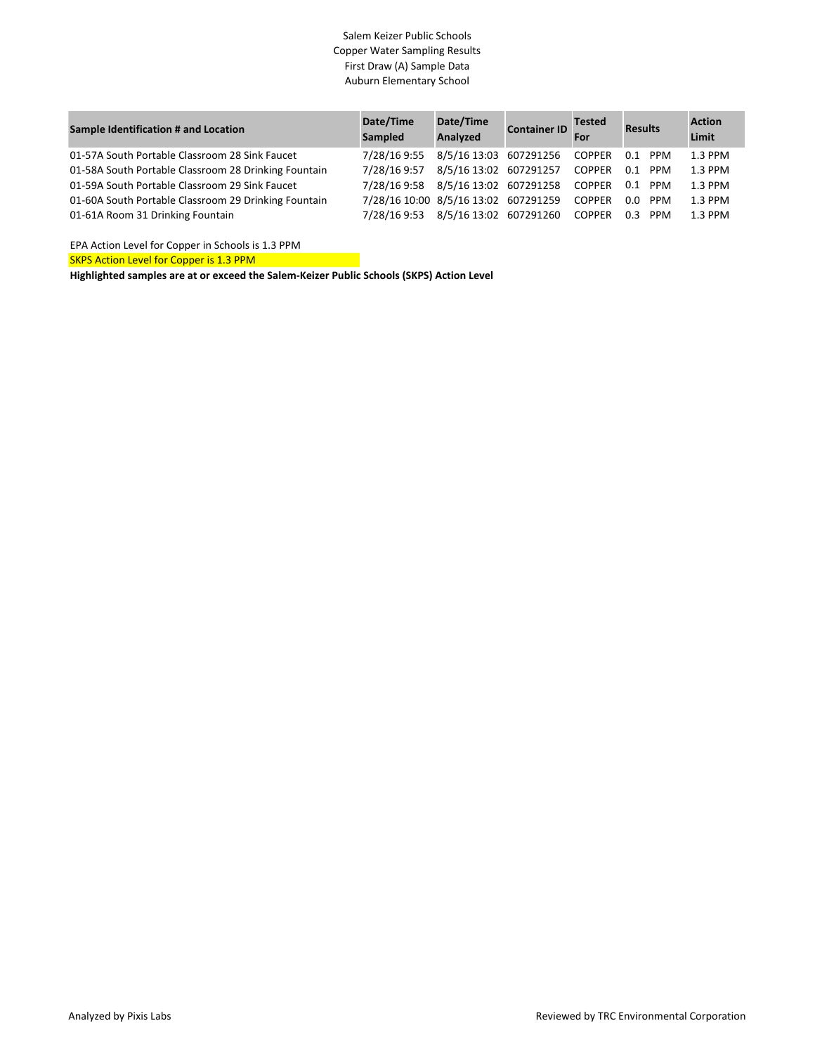## Salem Keizer Public Schools Copper Water Sampling Results First Draw (A) Sample Data Auburn Elementary School

| Sample Identification # and Location                 | Date/Time<br>Sampled                        | Date/Time<br>Analyzed         | <b>Container ID</b> Tested |        | <b>Results</b> | <b>Action</b><br>Limit |
|------------------------------------------------------|---------------------------------------------|-------------------------------|----------------------------|--------|----------------|------------------------|
| 01-57A South Portable Classroom 28 Sink Faucet       | 7/28/16 9:55                                | 8/5/16 13:03 607291256 COPPER |                            |        | 0.1 PPM        | 1.3 PPM                |
| 01-58A South Portable Classroom 28 Drinking Fountain | 7/28/16 9:57                                | 8/5/16 13:02 607291257        |                            | COPPER | $0.1$ PPM      | 1.3 PPM                |
| 01-59A South Portable Classroom 29 Sink Faucet       | 7/28/16 9:58 8/5/16 13:02 607291258 COPPER  |                               |                            |        | $0.1$ PPM      | 1.3 PPM                |
| 01-60A South Portable Classroom 29 Drinking Fountain | 7/28/16 10:00 8/5/16 13:02 607291259 COPPER |                               |                            |        | $0.0$ PPM      | 1.3 PPM                |
| 01-61A Room 31 Drinking Fountain                     | 7/28/16 9:53                                | 8/5/16 13:02 607291260 COPPER |                            |        | 0.3 PPM        | 1.3 PPM                |

EPA Action Level for Copper in Schools is 1.3 PPM

**SKPS Action Level for Copper is 1.3 PPM**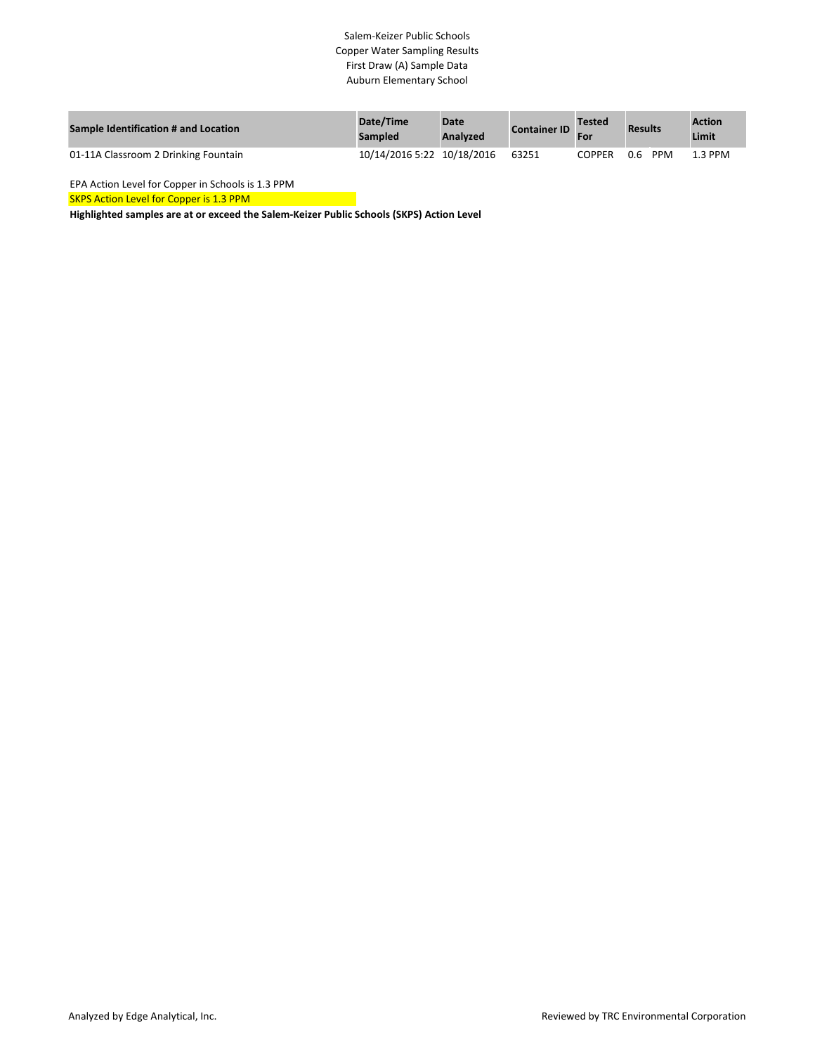### Salem-Keizer Public Schools Copper Water Sampling Results First Draw (A) Sample Data Auburn Elementary School

| <b>Sample Identification # and Location</b> | Date/Time<br><b>Sampled</b> | <b>Date</b><br><b>Analyzed</b> | <b>Container ID</b> | <b>Tested</b><br>For | <b>Results</b>    | <b>Action</b><br>Limit |
|---------------------------------------------|-----------------------------|--------------------------------|---------------------|----------------------|-------------------|------------------------|
| 01-11A Classroom 2 Drinking Fountain        | 10/14/2016 5:22 10/18/2016  |                                | 63251               | COPPER               | <b>PPM</b><br>0.6 | .3 PPM                 |

EPA Action Level for Copper in Schools is 1.3 PPM

SKPS Action Level for Copper is 1.3 PPM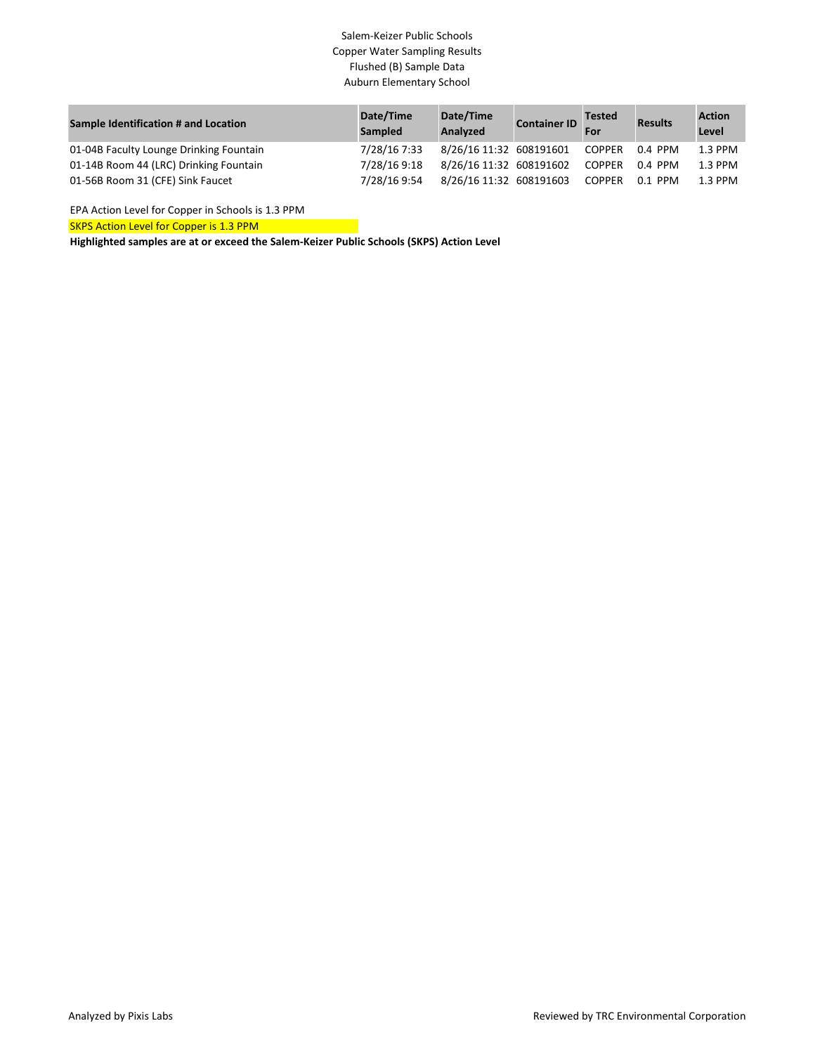# Salem-Keizer Public Schools Copper Water Sampling Results Flushed (B) Sample Data Auburn Elementary School

| Sample Identification # and Location    | Date/Time<br><b>Sampled</b> | Date/Time<br>Analyzed   | <b>Container ID</b> | <b>Tested</b><br>For | <b>Results</b> | <b>Action</b><br>Level |
|-----------------------------------------|-----------------------------|-------------------------|---------------------|----------------------|----------------|------------------------|
| 01-04B Faculty Lounge Drinking Fountain | 7/28/16 7:33                | 8/26/16 11:32 608191601 |                     | COPPER               | 0.4 PPM        | $1.3$ PPM              |
| 01-14B Room 44 (LRC) Drinking Fountain  | 7/28/16 9:18                | 8/26/16 11:32 608191602 |                     | <b>COPPER</b>        | 0.4 PPM        | $1.3$ PPM              |
| 01-56B Room 31 (CFE) Sink Faucet        | 7/28/16 9:54                | 8/26/16 11:32 608191603 |                     | <b>COPPER</b>        | 0.1 PPM        | 1.3 PPM                |

EPA Action Level for Copper in Schools is 1.3 PPM

SKPS Action Level for Copper is 1.3 PPM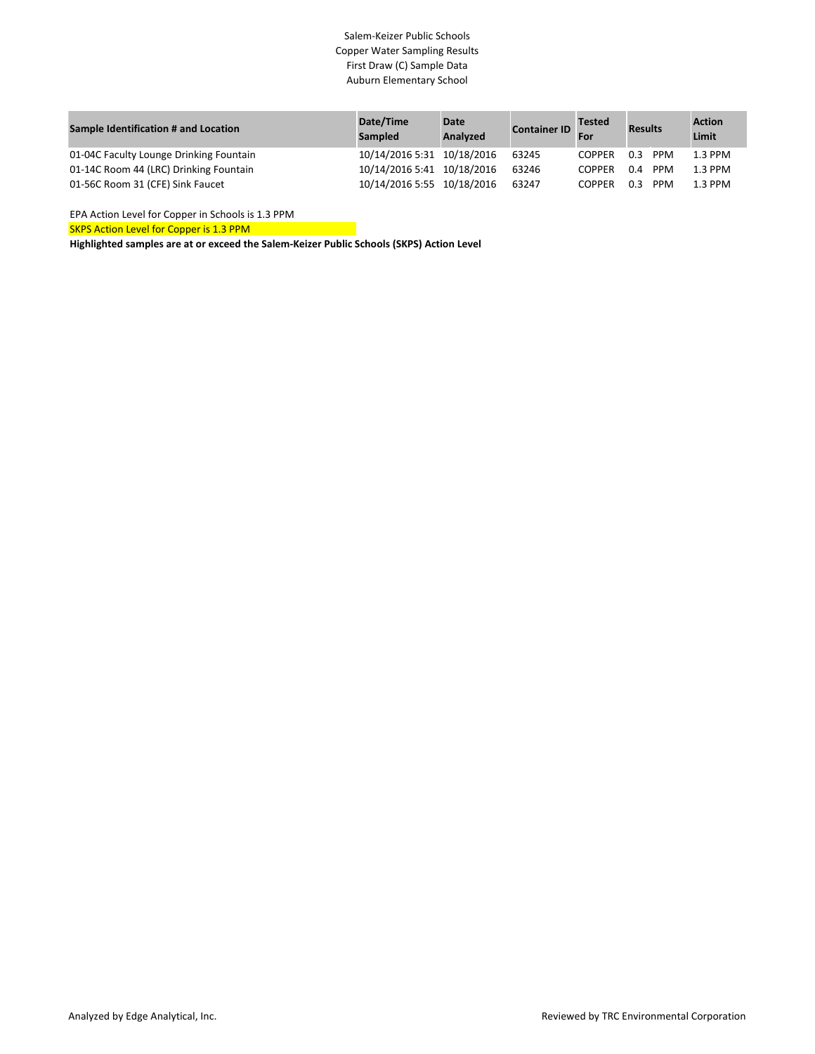### Salem-Keizer Public Schools Copper Water Sampling Results First Draw (C) Sample Data Auburn Elementary School

| Sample Identification # and Location    | Date/Time<br><b>Sampled</b> | <b>Date</b><br>Analyzed | <b>Container ID</b> | <b>Tested</b><br>For | <b>Results</b>    | <b>Action</b><br>Limit |
|-----------------------------------------|-----------------------------|-------------------------|---------------------|----------------------|-------------------|------------------------|
| 01-04C Faculty Lounge Drinking Fountain | 10/14/2016 5:31 10/18/2016  |                         | 63245               | COPPER               | <b>PPM</b><br>0.3 | $1.3$ PPM              |
| 01-14C Room 44 (LRC) Drinking Fountain  | 10/14/2016 5:41 10/18/2016  |                         | 63246               | <b>COPPER</b>        | <b>PPM</b><br>0.4 | $1.3$ PPM              |
| 01-56C Room 31 (CFE) Sink Faucet        | 10/14/2016 5:55 10/18/2016  |                         | 63247               | <b>COPPER</b>        | <b>PPM</b><br>0.3 | 1.3 PPM                |

SKPS Action Level for Copper is 1.3 PPM EPA Action Level for Copper in Schools is 1.3 PPM